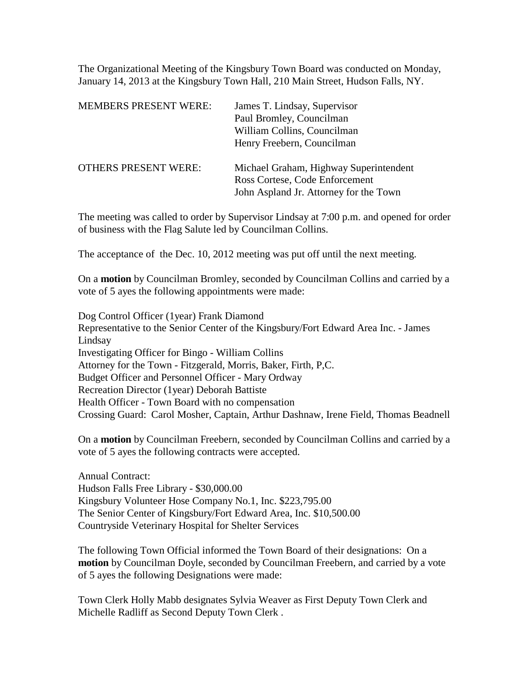The Organizational Meeting of the Kingsbury Town Board was conducted on Monday, January 14, 2013 at the Kingsbury Town Hall, 210 Main Street, Hudson Falls, NY.

| <b>MEMBERS PRESENT WERE:</b> | James T. Lindsay, Supervisor<br>Paul Bromley, Councilman<br>William Collins, Councilman<br>Henry Freebern, Councilman |
|------------------------------|-----------------------------------------------------------------------------------------------------------------------|
| <b>OTHERS PRESENT WERE:</b>  | Michael Graham, Highway Superintendent<br>Ross Cortese, Code Enforcement<br>John Aspland Jr. Attorney for the Town    |

The meeting was called to order by Supervisor Lindsay at 7:00 p.m. and opened for order of business with the Flag Salute led by Councilman Collins.

The acceptance of the Dec. 10, 2012 meeting was put off until the next meeting.

On a **motion** by Councilman Bromley, seconded by Councilman Collins and carried by a vote of 5 ayes the following appointments were made:

Dog Control Officer (1year) Frank Diamond Representative to the Senior Center of the Kingsbury/Fort Edward Area Inc. - James Lindsay Investigating Officer for Bingo - William Collins Attorney for the Town - Fitzgerald, Morris, Baker, Firth, P,C. Budget Officer and Personnel Officer - Mary Ordway Recreation Director (1year) Deborah Battiste Health Officer - Town Board with no compensation Crossing Guard: Carol Mosher, Captain, Arthur Dashnaw, Irene Field, Thomas Beadnell

On a **motion** by Councilman Freebern, seconded by Councilman Collins and carried by a vote of 5 ayes the following contracts were accepted.

Annual Contract: Hudson Falls Free Library - \$30,000.00 Kingsbury Volunteer Hose Company No.1, Inc. \$223,795.00 The Senior Center of Kingsbury/Fort Edward Area, Inc. \$10,500.00 Countryside Veterinary Hospital for Shelter Services

The following Town Official informed the Town Board of their designations: On a **motion** by Councilman Doyle, seconded by Councilman Freebern, and carried by a vote of 5 ayes the following Designations were made:

Town Clerk Holly Mabb designates Sylvia Weaver as First Deputy Town Clerk and Michelle Radliff as Second Deputy Town Clerk .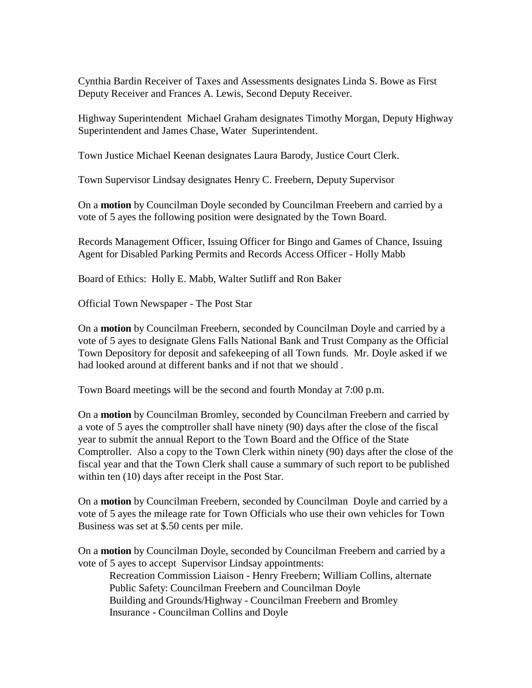Cynthia Bardin Receiver of Taxes and Assessments designates Linda S. Bowe as First Deputy Receiver and Frances A. Lewis, Second Deputy Receiver.

Highway Superintendent Michael Graham designates Timothy Morgan, Deputy Highway Superintendent and James Chase, Water Superintendent.

Town Justice Michael Keenan designates Laura Barody, Justice Court Clerk.

Town Supervisor Lindsay designates Henry C. Freebern, Deputy Supervisor

On a **motion** by Councilman Doyle seconded by Councilman Freebern and carried by a vote of 5 ayes the following position were designated by the Town Board.

Records Management Officer, Issuing Officer for Bingo and Games of Chance, Issuing Agent for Disabled Parking Permits and Records Access Officer - Holly Mabb

Board of Ethics: Holly E. Mabb, Walter Sutliff and Ron Baker

Official Town Newspaper - The Post Star

On a **motion** by Councilman Freebern, seconded by Councilman Doyle and carried by a vote of 5 ayes to designate Glens Falls National Bank and Trust Company as the Official Town Depository for deposit and safekeeping of all Town funds. Mr. Doyle asked if we had looked around at different banks and if not that we should .

Town Board meetings will be the second and fourth Monday at 7:00 p.m.

On a **motion** by Councilman Bromley, seconded by Councilman Freebern and carried by a vote of 5 ayes the comptroller shall have ninety (90) days after the close of the fiscal year to submit the annual Report to the Town Board and the Office of the State Comptroller. Also a copy to the Town Clerk within ninety (90) days after the close of the fiscal year and that the Town Clerk shall cause a summary of such report to be published within ten (10) days after receipt in the Post Star.

On a **motion** by Councilman Freebern, seconded by Councilman Doyle and carried by a vote of 5 ayes the mileage rate for Town Officials who use their own vehicles for Town Business was set at \$.50 cents per mile.

On a **motion** by Councilman Doyle, seconded by Councilman Freebern and carried by a vote of 5 ayes to accept Supervisor Lindsay appointments:

Recreation Commission Liaison - Henry Freebern; William Collins, alternate Public Safety: Councilman Freebern and Councilman Doyle Building and Grounds/Highway - Councilman Freebern and Bromley Insurance - Councilman Collins and Doyle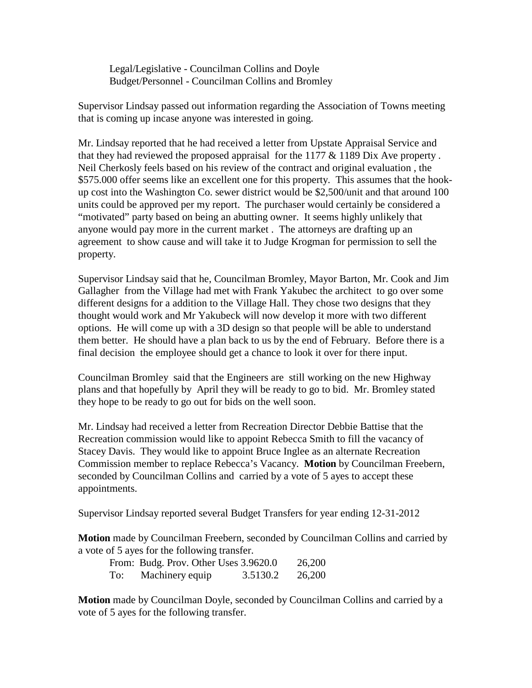Legal/Legislative - Councilman Collins and Doyle Budget/Personnel - Councilman Collins and Bromley

Supervisor Lindsay passed out information regarding the Association of Towns meeting that is coming up incase anyone was interested in going.

Mr. Lindsay reported that he had received a letter from Upstate Appraisal Service and that they had reviewed the proposed appraisal for the  $1177 \& 1189$  Dix Ave property. Neil Cherkosly feels based on his review of the contract and original evaluation , the \$575.000 offer seems like an excellent one for this property. This assumes that the hookup cost into the Washington Co. sewer district would be \$2,500/unit and that around 100 units could be approved per my report. The purchaser would certainly be considered a "motivated" party based on being an abutting owner. It seems highly unlikely that anyone would pay more in the current market . The attorneys are drafting up an agreement to show cause and will take it to Judge Krogman for permission to sell the property.

Supervisor Lindsay said that he, Councilman Bromley, Mayor Barton, Mr. Cook and Jim Gallagher from the Village had met with Frank Yakubec the architect to go over some different designs for a addition to the Village Hall. They chose two designs that they thought would work and Mr Yakubeck will now develop it more with two different options. He will come up with a 3D design so that people will be able to understand them better. He should have a plan back to us by the end of February. Before there is a final decision the employee should get a chance to look it over for there input.

Councilman Bromley said that the Engineers are still working on the new Highway plans and that hopefully by April they will be ready to go to bid. Mr. Bromley stated they hope to be ready to go out for bids on the well soon.

Mr. Lindsay had received a letter from Recreation Director Debbie Battise that the Recreation commission would like to appoint Rebecca Smith to fill the vacancy of Stacey Davis. They would like to appoint Bruce Inglee as an alternate Recreation Commission member to replace Rebecca's Vacancy. **Motion** by Councilman Freebern, seconded by Councilman Collins and carried by a vote of 5 ayes to accept these appointments.

Supervisor Lindsay reported several Budget Transfers for year ending 12-31-2012

**Motion** made by Councilman Freebern, seconded by Councilman Collins and carried by a vote of 5 ayes for the following transfer.

|     | From: Budg. Prov. Other Uses 3.9620.0 |          | 26,200 |
|-----|---------------------------------------|----------|--------|
| To: | Machinery equip                       | 3.5130.2 | 26,200 |

**Motion** made by Councilman Doyle, seconded by Councilman Collins and carried by a vote of 5 ayes for the following transfer.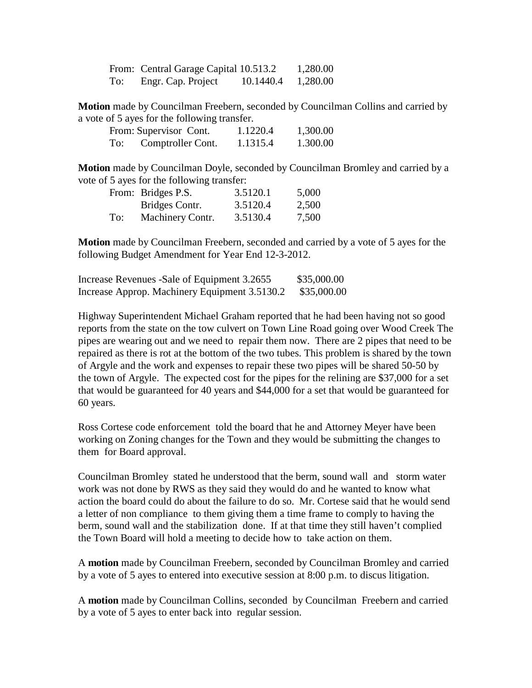|     | From: Central Garage Capital 10.513.2 |           | 1,280.00 |
|-----|---------------------------------------|-----------|----------|
| To: | Engr. Cap. Project                    | 10.1440.4 | 1,280.00 |

**Motion** made by Councilman Freebern, seconded by Councilman Collins and carried by a vote of 5 ayes for the following transfer.

|     | From: Supervisor Cont. | 1.1220.4 | 1,300.00 |
|-----|------------------------|----------|----------|
| To: | Comptroller Cont.      | 1.1315.4 | 1.300.00 |

**Motion** made by Councilman Doyle, seconded by Councilman Bromley and carried by a vote of 5 ayes for the following transfer:

|     | From: Bridges P.S. | 3.5120.1 | 5,000 |
|-----|--------------------|----------|-------|
|     | Bridges Contr.     | 3.5120.4 | 2,500 |
| To: | Machinery Contr.   | 3.5130.4 | 7,500 |

**Motion** made by Councilman Freebern, seconded and carried by a vote of 5 ayes for the following Budget Amendment for Year End 12-3-2012.

| Increase Revenues - Sale of Equipment 3.2655  | \$35,000.00 |
|-----------------------------------------------|-------------|
| Increase Approp. Machinery Equipment 3.5130.2 | \$35,000.00 |

Highway Superintendent Michael Graham reported that he had been having not so good reports from the state on the tow culvert on Town Line Road going over Wood Creek The pipes are wearing out and we need to repair them now. There are 2 pipes that need to be repaired as there is rot at the bottom of the two tubes. This problem is shared by the town of Argyle and the work and expenses to repair these two pipes will be shared 50-50 by the town of Argyle. The expected cost for the pipes for the relining are \$37,000 for a set that would be guaranteed for 40 years and \$44,000 for a set that would be guaranteed for 60 years.

Ross Cortese code enforcement told the board that he and Attorney Meyer have been working on Zoning changes for the Town and they would be submitting the changes to them for Board approval.

Councilman Bromley stated he understood that the berm, sound wall and storm water work was not done by RWS as they said they would do and he wanted to know what action the board could do about the failure to do so. Mr. Cortese said that he would send a letter of non compliance to them giving them a time frame to comply to having the berm, sound wall and the stabilization done. If at that time they still haven't complied the Town Board will hold a meeting to decide how to take action on them.

A **motion** made by Councilman Freebern, seconded by Councilman Bromley and carried by a vote of 5 ayes to entered into executive session at 8:00 p.m. to discus litigation.

A **motion** made by Councilman Collins, seconded by Councilman Freebern and carried by a vote of 5 ayes to enter back into regular session.